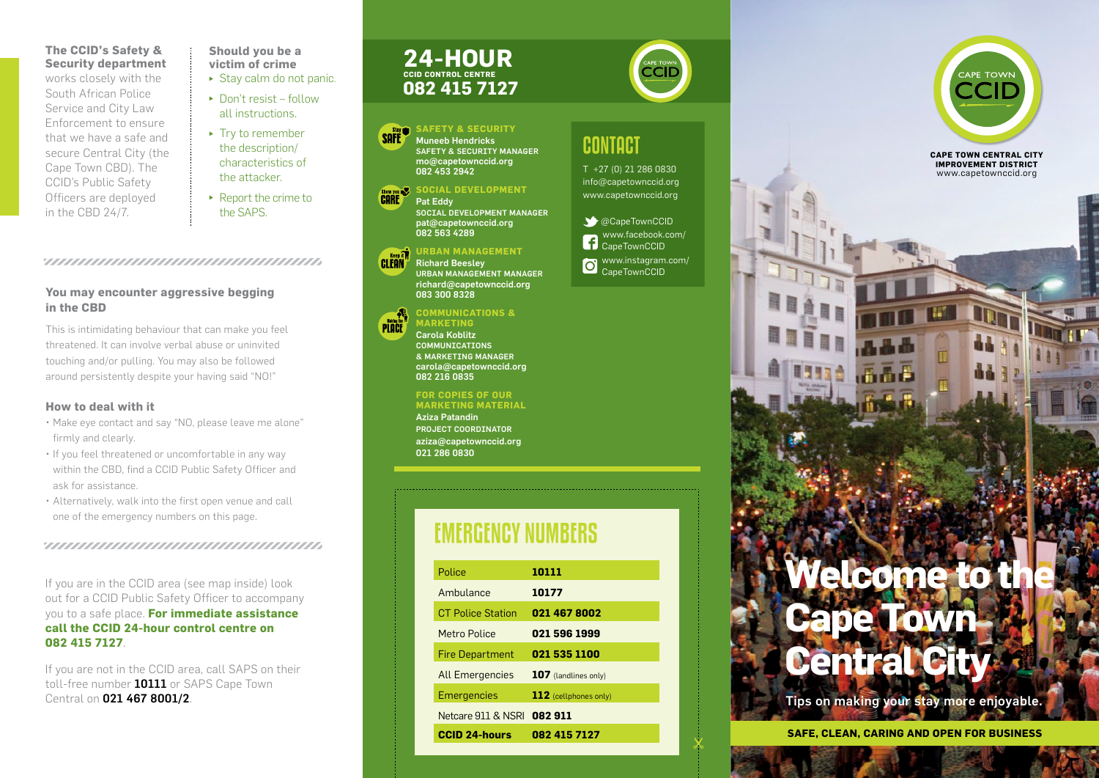### **The CCID's Safety & Security department**

works closely with the South African Police Service and City Law Enforcement to ensure that we have a safe and secure Central City (the Cape Town CBD). The CCID's Public Safety Officers are deployed in the CBD 24/7.

**Should you be a victim of crime**

- $\triangleright$  Stay calm do not panic.
- $\blacktriangleright$  Don't resist follow all instructions.
- $\blacktriangleright$  Try to remember the description/ characteristics of the attacker.
- $\blacktriangleright$  Report the crime to the SAPS.

### 

### **You may encounter aggressive begging in the CBD**

This is intimidating behaviour that can make you feel threatened. It can involve verbal abuse or uninvited touching and/or pulling. You may also be followed around persistently despite your having said "NO!"

### **How to deal with it**

- • Make eye contact and say "NO, please leave me alone" firmly and clearly.
- If you feel threatened or uncomfortable in any way within the CBD, find a CCID Public Safety Officer and ask for assistance.
- • Alternatively, walk into the first open venue and call one of the emergency numbers on this page.

If you are in the CCID area (see map inside) look out for a CCID Public Safety Officer to accompany you to a safe place. **For immediate assistance call the CCID 24-hour control centre on 082 415 7127**.

If you are not in the CCID area, call SAPS on their toll-free number 10111 or SAPS Cape Town Central on 021 467 8001/2.

### **082 415 7127 24-HOUR CCID control centre**





Social DeVELOPMENT Manager pat@capetownccid.org 082 563 4289

### **Urban MANAgement**

Richard Beesley URBAN MANAGeMENT Manager richard@capetownccid.org

### **Communications &**

Carola Koblitz **COMMUNTCATTONS** & Marketing manager carola@capetownccid.org 082 216 0835

Aziza Patandin Project Coordinator aziza@capetownccid.org 021 286 0830

# emergency numbers

| Police                   | 10111                   |
|--------------------------|-------------------------|
| Ambulance                | 10177                   |
| <b>CT Police Station</b> | 021 467 8002            |
| <b>Metro Police</b>      | 021 596 1999            |
| <b>Fire Department</b>   | 021 535 1100            |
| <b>All Emergencies</b>   | 107 (landlines only)    |
| <b>Emergencies</b>       | $112$ (cellphones only) |
| Netcare 911 & NSRL       | 082911                  |
| <b>CCID 24-hours</b>     | 082 415 7127            |

# contact

T +27 (0) 21 286 0830 info@capetownccid.org www.capetownccid.org

 $\bullet$  @CapeTownCCID www.facebook.com/ **f** CapeTownCCID www.instagram.com/ CapeTownCCID



**cape town Central City Improvement District** www.capetownccid.org

# *<u>Ielcome</u>* to the **Cape Town Central City**

Tips on making your stay more enjoyable.

**Safe, clean, caring and open for business**



PINCE

083 300 8328

**MDKETING** 

**For copies of our marketing material**